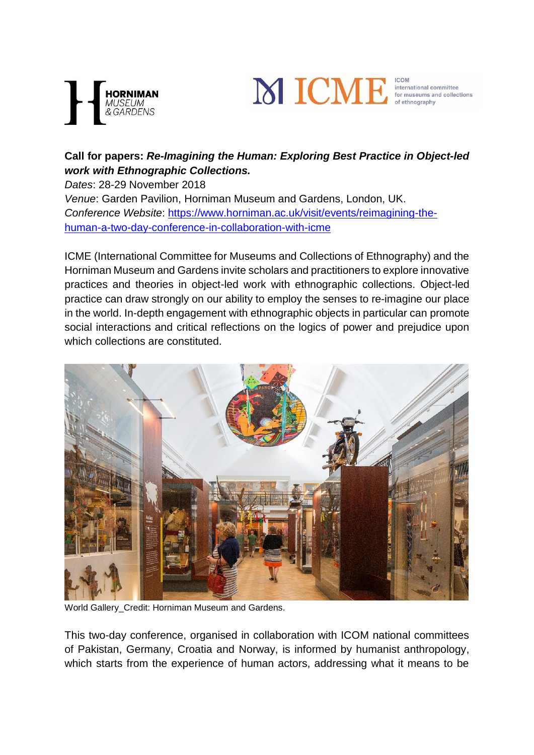



## **Call for papers:** *Re-Imagining the Human: Exploring Best Practice in Object-led work with Ethnographic Collections.*

*Dates*: 28-29 November 2018 *Venue*: Garden Pavilion, Horniman Museum and Gardens, London, UK. *Conference Website*: [https://www.horniman.ac.uk/visit/events/reimagining-the](https://www.horniman.ac.uk/visit/events/reimagining-the-human-a-two-day-conference-in-collaboration-with-icme)[human-a-two-day-conference-in-collaboration-with-icme](https://www.horniman.ac.uk/visit/events/reimagining-the-human-a-two-day-conference-in-collaboration-with-icme)

ICME (International Committee for Museums and Collections of Ethnography) and the Horniman Museum and Gardens invite scholars and practitioners to explore innovative practices and theories in object-led work with ethnographic collections. Object-led practice can draw strongly on our ability to employ the senses to re-imagine our place in the world. In-depth engagement with ethnographic objects in particular can promote social interactions and critical reflections on the logics of power and prejudice upon which collections are constituted.



World Gallery\_Credit: Horniman Museum and Gardens.

This two-day conference, organised in collaboration with ICOM national committees of Pakistan, Germany, Croatia and Norway, is informed by humanist anthropology, which starts from the experience of human actors, addressing what it means to be